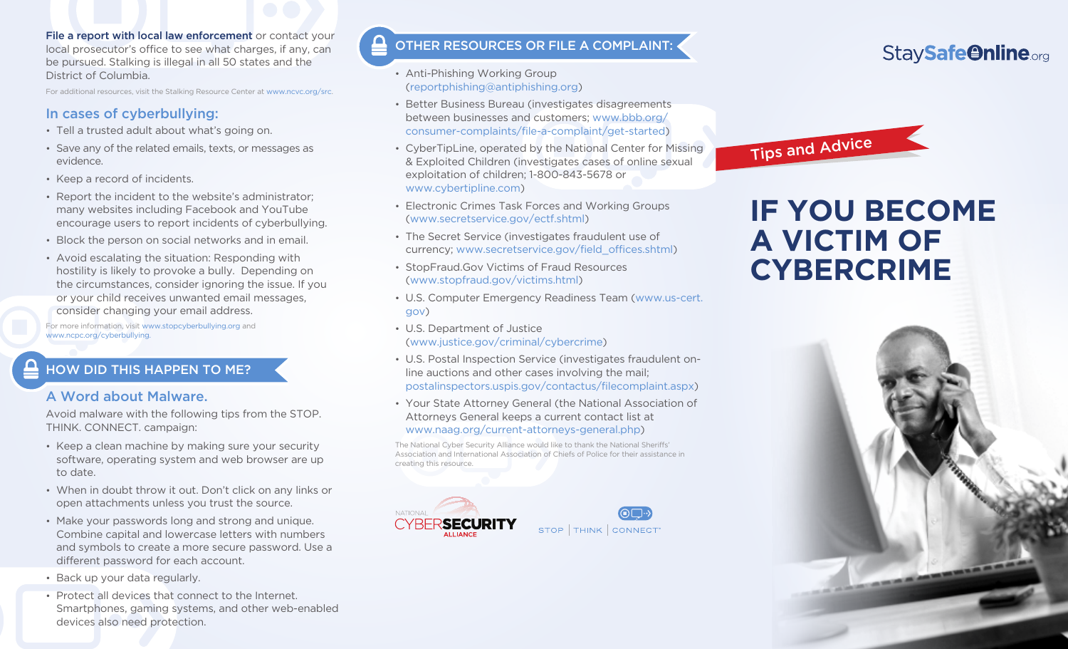File a report with local law enforcement or contact your local prosecutor's office to see what charges, if any, can be pursued. Stalking is illegal in all 50 states and the District of Columbia.

For additional resources, visit the Stalking Resource Center at www.ncvc.org/src.

#### In cases of cyberbullying:

- • Tell a trusted adult about what's going on.
- Save any of the related emails, texts, or messages as evidence.
- Keep a record of incidents.
- Report the incident to the website's administrator: many websites including Facebook and YouTube encourage users to report incidents of cyberbullying.
- Block the person on social networks and in email.
- • Avoid escalating the situation: Responding with hostility is likely to provoke a bully. Depending on the circumstances, consider ignoring the issue. If you or your child receives unwanted email messages, consider changing your email address.

For more information, visit www.stopcyberbullying.org and www.ncpc.org/cyberbullying.

#### HOW DID THIS HAPPEN TO ME?

#### A Word about Malware.

Avoid malware with the following tips from the STOP. THINK. CONNECT. campaign:

- Keep a clean machine by making sure your security software, operating system and web browser are up to date.
- • When in doubt throw it out. Don't click on any links or open attachments unless you trust the source.
- Make your passwords long and strong and unique. Combine capital and lowercase letters with numbers and symbols to create a more secure password. Use a different password for each account.
- Back up your data regularly.
- Protect all devices that connect to the Internet. Smartphones, gaming systems, and other web-enabled devices also need protection.

#### OTHER RESOURCES OR FILE A COMPLAINT:

- Anti-Phishing Working Group (reportphishing@antiphishing.org)
- • Better Business Bureau (investigates disagreements between businesses and customers; www.bbb.org/ consumer-complaints/file-a-complaint/get-started)
- CyberTipLine, operated by the National Center for Missing & Exploited Children (investigates cases of online sexual exploitation of children; 1-800-843-5678 or www.cybertipline.com)
- Electronic Crimes Task Forces and Working Groups (www.secretservice.gov/ectf.shtml)
- The Secret Service (investigates fraudulent use of currency; www.secretservice.gov/field\_offices.shtml)
- StopFraud.Gov Victims of Fraud Resources (www.stopfraud.gov/victims.html)
- • U.S. Computer Emergency Readiness Team (www.us-cert. gov)
- • U.S. Department of Justice (www.justice.gov/criminal/cybercrime)
- • U.S. Postal Inspection Service (investigates fraudulent online auctions and other cases involving the mail; postalinspectors.uspis.gov/contactus/filecomplaint.aspx)
- • Your State Attorney General (the National Association of Attorneys General keeps a current contact list at www.naag.org/current-attorneys-general.php)

The National Cyber Security Alliance would like to thank the National Sheriffs' Association and International Association of Chiefs of Police for their assistance in creating this resource.





# StaySafe@nline.org

Tips and Advice

# **IF YOU BECOME A VICTIM OF CYBERCRIME**